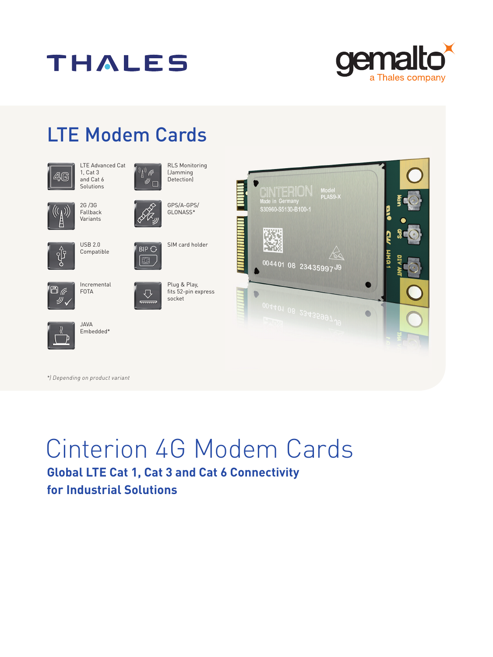



## LTE Modem Cards





2G /3G

RLS Monitoring (Jamming (t Detection)



Fallback Variants



USB 2.0 Compatible

 $\overline{BB}$ 

EG.



 $\Box$ 



Plug & Play, fits 52-pin express  $\bigtriangledown$ socket  $\frac{1}{2}$ 

SIM card holder

GPS/A-GPS/ GLONASS\*



*\*) Depending on product variant*

JAVA Embedded\*

# Cinterion 4G Modem Cards

### **Global LTE Cat 1, Cat 3 and Cat 6 Connectivity for Industrial Solutions**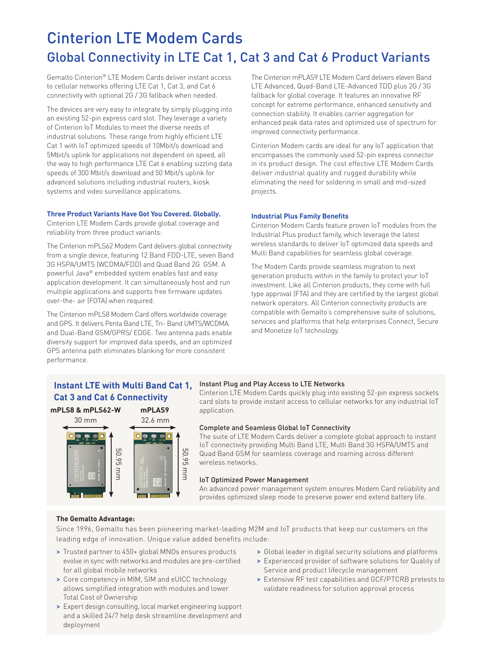### Cinterion LTE Modem Cards Global Connectivity in LTE Cat 1, Cat 3 and Cat 6 Product Variants

Gemalto Cinterion® LTE Modem Cards deliver instant access to cellular networks offering LTE Cat 1, Cat 3, and Cat 6 connectivity with optional 2G / 3G fallback when needed.

The devices are very easy to integrate by simply plugging into an existing 52-pin express card slot. They leverage a variety of Cinterion IoT Modules to meet the diverse needs of industrial solutions. These range from highly efficient LTE Cat 1 with IoT optimized speeds of 10Mbit/s download and 5Mbit/s uplink for applications not dependent on speed, all the way to high performance LTE Cat 6 enabling sizzling data speeds of 300 Mbit/s download and 50 Mbit/s uplink for advanced solutions including industrial routers, kiosk systems and video surveillance applications.

### **Three Product Variants Have Got You Covered. Globally.**

Cinterion LTE Modem Cards provide global coverage and reliability from three product variants:

The Cinterion mPLS62 Modem Card delivers global connectivity from a single device, featuring 12 Band FDD-LTE, seven Band 3G HSPA/UMTS (WCDMA/FDD) and Quad Band 2G GSM. A powerful Java® embedded system enables fast and easy application development. It can simultaneously host and run multiple applications and supports free firmware updates over-the- air (FOTA) when required.

The Cinterion mPLS8 Modem Card offers worldwide coverage and GPS. It delivers Penta Band LTE, Tri- Band UMTS/WCDMA and Dual-Band GSM/GPRS/ EDGE. Two antenna pads enable diversity support for improved data speeds, and an optimized GPS antenna path eliminates blanking for more consistent performance.

The Cinterion mPLAS9 LTE Modem Card delivers eleven Band LTE Advanced, Quad-Band LTE-Advanced TDD plus 2G / 3G fallback for global coverage. It features an innovative RF concept for extreme performance, enhanced sensitivity and connection stability. It enables carrier aggregation for enhanced peak data rates and optimized use of spectrum for improved connectivity performance.

Cinterion Modem cards are ideal for any IoT application that encompasses the commonly used 52-pin express connector in its product design. The cost effective LTE Modem Cards deliver industrial quality and rugged durability while eliminating the need for soldering in small and mid-sized projects.

#### **Industrial Plus Family Benefits**

Cinterion Modem Cards feature proven IoT modules from the Industrial Plus product family, which leverage the latest wireless standards to deliver IoT optimized data speeds and Multi Band capabilities for seamless global coverage.

The Modem Cards provide seamless migration to next generation products within in the family to protect your IoT investment. Like all Cinterion products, they come with full type approval (FTA) and they are certified by the largest global network operators. All Cinterion connectivity products are compatible with Gemalto's comprehensive suite of solutions, services and platforms that help enterprises Connect, Secure and Monetize IoT technology.

### **Instant LTE with Multi Band Cat 1, Cat 3 and Cat 6 Connectivity**

**mPLS8 & mPLS62-W mPLAS9**



### Instant Plug and Play Access to LTE Networks

Cinterion LTE Modem Cards quickly plug into existing 52-pin express sockets card slots to provide instant access to cellular networks for any industrial IoT application.

#### Complete and Seamless Global IoT Connectivity

The suite of LTE Modem Cards deliver a complete global approach to instant IoT connectivity providing Multi Band LTE, Multi Band 3G HSPA/UMTS and Quad Band GSM for seamless coverage and roaming across different wireless networks.

#### IoT Optimized Power Management

An advanced power management system ensures Modem Card reliability and provides optimized sleep mode to preserve power end extend battery life.

### **The Gemalto Advantage:**

Since 1996, Gemalto has been pioneering market-leading M2M and IoT products that keep our customers on the leading edge of innovation. Unique value added benefits include:

- > Trusted partner to 450+ global MNOs ensures products evolve in sync with networks and modules are pre-certified for all global mobile networks
- > Core competency in MIM, SIM and eUICC technology allows simplified integration with modules and lower Total Cost of Ownership
- > Expert design consulting, local market engineering support and a skilled 24/7 help desk streamline development and deployment
- > Global leader in digital security solutions and platforms
- > Experienced provider of software solutions for Quality of Service and product lifecycle management
- > Extensive RF test capabilities and GCF/PTCRB pretests to validate readiness for solution approval process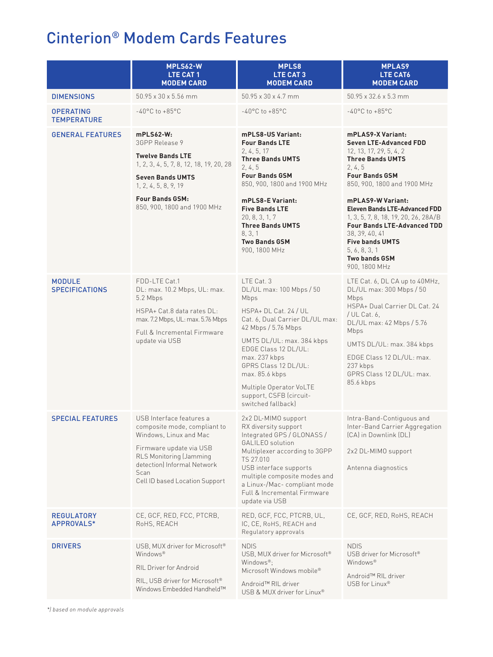### Cinterion® Modem Cards Features

|                                        | MPLS62-W<br>LTE CAT 1<br><b>MODEM CARD</b>                                                                                                                                                                               | <b>MPLS8</b><br>LTE CAT3<br><b>MODEM CARD</b>                                                                                                                                                                                                                                                                                 | <b>MPLAS9</b><br>LTE CAT6<br><b>MODEM CARD</b>                                                                                                                                                                                                                                                                                                                                                                                      |
|----------------------------------------|--------------------------------------------------------------------------------------------------------------------------------------------------------------------------------------------------------------------------|-------------------------------------------------------------------------------------------------------------------------------------------------------------------------------------------------------------------------------------------------------------------------------------------------------------------------------|-------------------------------------------------------------------------------------------------------------------------------------------------------------------------------------------------------------------------------------------------------------------------------------------------------------------------------------------------------------------------------------------------------------------------------------|
| <b>DIMENSIONS</b>                      | 50.95 x 30 x 5.56 mm                                                                                                                                                                                                     | 50.95 x 30 x 4.7 mm                                                                                                                                                                                                                                                                                                           | 50.95 x 32.6 x 5.3 mm                                                                                                                                                                                                                                                                                                                                                                                                               |
| <b>OPERATING</b><br><b>TEMPERATURE</b> | $-40^{\circ}$ C to $+85^{\circ}$ C                                                                                                                                                                                       | $-40^{\circ}$ C to $+85^{\circ}$ C                                                                                                                                                                                                                                                                                            | $-40^{\circ}$ C to $+85^{\circ}$ C                                                                                                                                                                                                                                                                                                                                                                                                  |
| <b>GENERAL FEATURES</b>                | $mPLS62-W:$<br>3GPP Release 9<br><b>Twelve Bands LTE</b><br>1, 2, 3, 4, 5, 7, 8, 12, 18, 19, 20, 28<br><b>Seven Bands UMTS</b><br>1, 2, 4, 5, 8, 9, 19<br><b>Four Bands GSM:</b><br>850, 900, 1800 and 1900 MHz          | mPLS8-US Variant:<br><b>Four Bands LTE</b><br>2, 4, 5, 17<br><b>Three Bands UMTS</b><br>2, 4, 5<br><b>Four Bands GSM</b><br>850, 900, 1800 and 1900 MHz<br>mPLS8-E Variant:<br><b>Five Bands LTE</b><br>20, 8, 3, 1, 7<br><b>Three Bands UMTS</b><br>8, 3, 1<br><b>Two Bands GSM</b><br>900, 1800 MHz                         | <b>mPLAS9-X Variant:</b><br><b>Seven LTE-Advanced FDD</b><br>12, 13, 17, 29, 5, 4, 2<br><b>Three Bands UMTS</b><br>2, 4, 5<br><b>Four Bands GSM</b><br>850, 900, 1800 and 1900 MHz<br>mPLAS9-W Variant:<br><b>Eleven Bands LTE-Advanced FDD</b><br>1, 3, 5, 7, 8, 18, 19, 20, 26, 28A/B<br><b>Four Bands LTE-Advanced TDD</b><br>38, 39, 40, 41<br><b>Five bands UMTS</b><br>5, 6, 8, 3, 1<br><b>Two bands GSM</b><br>900, 1800 MHz |
| <b>MODULE</b><br><b>SPECIFICATIONS</b> | FDD-LTE Cat.1<br>DL: max. 10.2 Mbps, UL: max.<br>5.2 Mbps<br>HSPA+ Cat.8 data rates DL:<br>max. 7.2 Mbps, UL: max. 5.76 Mbps<br>Full & Incremental Firmware<br>update via USB                                            | LTE Cat. 3<br>DL/UL max: 100 Mbps / 50<br>Mbps<br>HSPA+ DL Cat. 24 / UL<br>Cat. 6, Dual Carrier DL/UL max:<br>42 Mbps / 5.76 Mbps<br>UMTS DL/UL: max. 384 kbps<br>EDGE Class 12 DL/UL:<br>max. 237 kbps<br>GPRS Class 12 DL/UL:<br>max. 85.6 kbps<br>Multiple Operator VoLTE<br>support, CSFB (circuit-<br>switched fallback) | LTE Cat. 6, DL CA up to 40MHz,<br>DL/UL max: 300 Mbps / 50<br>Mbps<br>HSPA+ Dual Carrier DL Cat. 24<br>/ UL Cat. 6,<br>DL/UL max: 42 Mbps / 5.76<br>Mbps<br>UMTS DL/UL: max. 384 kbps<br>EDGE Class 12 DL/UL: max.<br>237 kbps<br>GPRS Class 12 DL/UL: max.<br>85.6 kbps                                                                                                                                                            |
| <b>SPECIAL FEATURES</b>                | USB Interface features a<br>composite mode, compliant to<br>Windows, Linux and Mac<br>Firmware update via USB<br><b>RLS Monitoring (Jamming</b><br>detection) Informal Network<br>Scan<br>Cell ID based Location Support | 2x2 DL-MIMO support<br>RX diversity support<br>Integrated GPS / GLONASS /<br>GALILEO solution<br>Multiplexer according to 3GPP<br>TS 27.010<br>USB interface supports<br>multiple composite modes and<br>a Linux-/Mac- compliant mode<br>Full & Incremental Firmware<br>update via USB                                        | Intra-Band-Contiguous and<br>Inter-Band Carrier Aggregation<br>(CA) in Downlink (DL)<br>2x2 DL-MIMO support<br>Antenna diagnostics                                                                                                                                                                                                                                                                                                  |
| <b>REGULATORY</b><br>APPROVALS*        | CE, GCF, RED, FCC, PTCRB,<br>RoHS, REACH                                                                                                                                                                                 | RED, GCF, FCC, PTCRB, UL,<br>IC, CE, RoHS, REACH and<br>Regulatory approvals                                                                                                                                                                                                                                                  | CE, GCF, RED, RoHS, REACH                                                                                                                                                                                                                                                                                                                                                                                                           |
| <b>DRIVERS</b>                         | USB, MUX driver for Microsoft®<br>Windows <sup>®</sup><br>RIL Driver for Android<br>RIL, USB driver for Microsoft <sup>®</sup><br>Windows Embedded Handheld™                                                             | <b>NDIS</b><br>USB, MUX driver for Microsoft®<br>Windows®:<br>Microsoft Windows mobile®<br>Android™ RIL driver<br>USB & MUX driver for Linux®                                                                                                                                                                                 | <b>NDIS</b><br>USB driver for Microsoft®<br>Windows <sup>®</sup><br>Android™ RIL driver<br>USB for Linux <sup>®</sup>                                                                                                                                                                                                                                                                                                               |

*\*) based on module approvals*